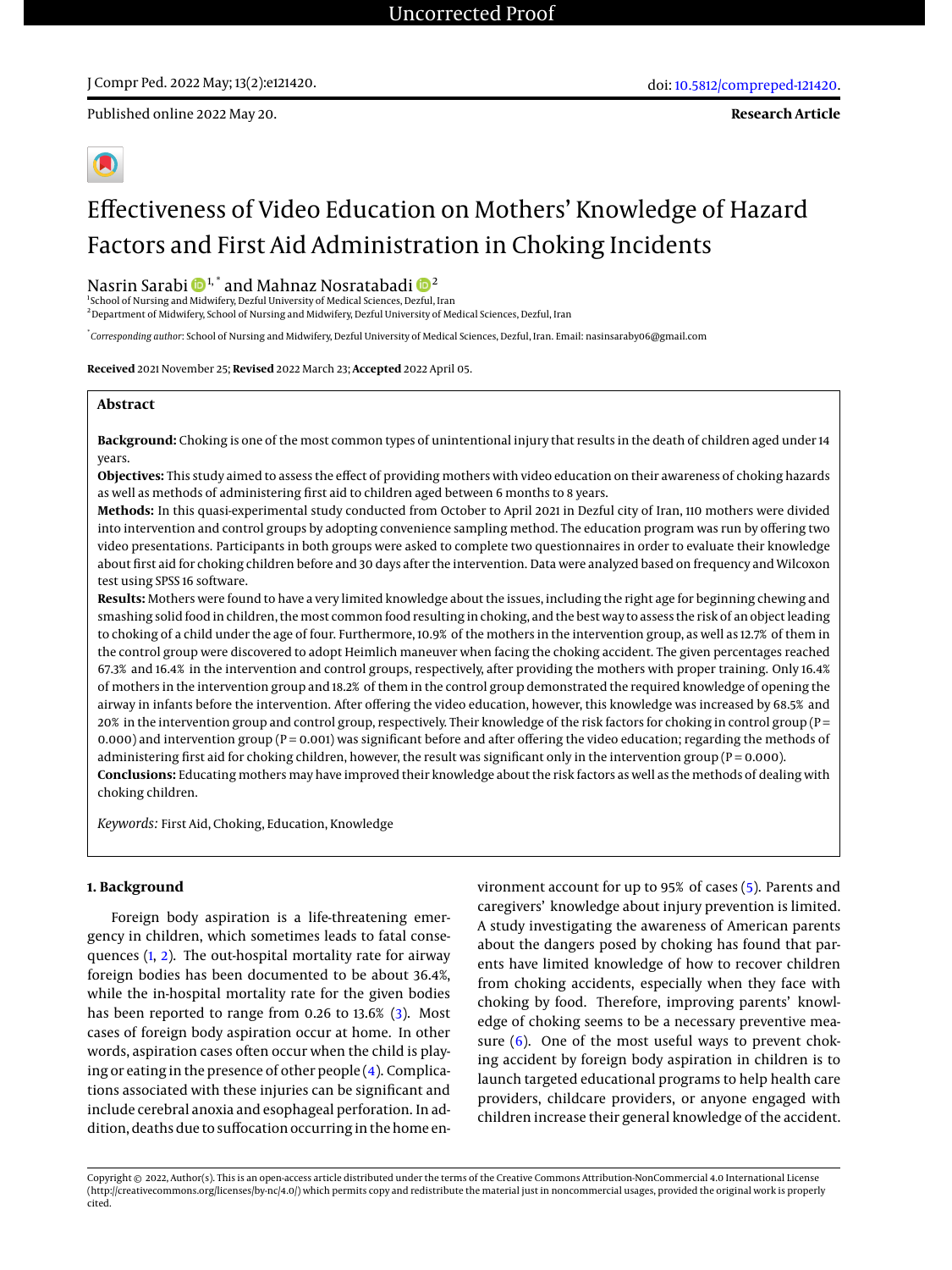# J Compr Ped. 2022 May; 13(2):e121420.

Published online 2022 May 20.

**Research Article**

# Effectiveness of Video Education on Mothers' Knowledge of Hazard Factors and First Aid Administration in Choking Incidents

# Nasrin Sarabi  $\mathbf{D}^{1,*}$  and Mahnaz Nosratabadi  $\mathbf{D}^{2}$

<sup>1</sup>School of Nursing and Midwifery, Dezful University of Medical Sciences, Dezful, Iran <sup>2</sup> Department of Midwifery, School of Nursing and Midwifery, Dezful University of Medical Sciences, Dezful, Iran

\* *Corresponding author*: School of Nursing and Midwifery, Dezful University of Medical Sciences, Dezful, Iran. Email: nasinsaraby06@gmail.com

**Received** 2021 November 25; **Revised** 2022 March 23; **Accepted** 2022 April 05.

#### **Abstract**

**Background:** Choking is one of the most common types of unintentional injury that results in the death of children aged under 14 years.

**Objectives:** This study aimed to assess the effect of providing mothers with video education on their awareness of choking hazards as well as methods of administering first aid to children aged between 6 months to 8 years.

**Methods:** In this quasi-experimental study conducted from October to April 2021 in Dezful city of Iran, 110 mothers were divided into intervention and control groups by adopting convenience sampling method. The education program was run by offering two video presentations. Participants in both groups were asked to complete two questionnaires in order to evaluate their knowledge about first aid for choking children before and 30 days after the intervention. Data were analyzed based on frequency and Wilcoxon test using SPSS 16 software.

**Results:** Mothers were found to have a very limited knowledge about the issues, including the right age for beginning chewing and smashing solid food in children, the most common food resulting in choking, and the best way to assess the risk of an object leading to choking of a child under the age of four. Furthermore, 10.9% of the mothers in the intervention group, as well as 12.7% of them in the control group were discovered to adopt Heimlich maneuver when facing the choking accident. The given percentages reached 67.3% and 16.4% in the intervention and control groups, respectively, after providing the mothers with proper training. Only 16.4% of mothers in the intervention group and 18.2% of them in the control group demonstrated the required knowledge of opening the airway in infants before the intervention. After offering the video education, however, this knowledge was increased by 68.5% and 20% in the intervention group and control group, respectively. Their knowledge of the risk factors for choking in control group (P = 0.000) and intervention group ( $P = 0.001$ ) was significant before and after offering the video education; regarding the methods of administering first aid for choking children, however, the result was significant only in the intervention group ( $P = 0.000$ ). **Conclusions:** Educating mothers may have improved their knowledge about the risk factors as well as the methods of dealing with choking children.

*Keywords:* First Aid, Choking, Education, Knowledge

#### **1. Background**

Foreign body aspiration is a life-threatening emergency in children, which sometimes leads to fatal consequences [\(1,](#page-6-0) [2\)](#page-6-1). The out-hospital mortality rate for airway foreign bodies has been documented to be about 36.4%, while the in-hospital mortality rate for the given bodies has been reported to range from 0.26 to 13.6% [\(3\)](#page-6-2). Most cases of foreign body aspiration occur at home. In other words, aspiration cases often occur when the child is playing or eating in the presence of other people [\(4\)](#page-6-3). Complications associated with these injuries can be significant and include cerebral anoxia and esophageal perforation. In addition, deaths due to suffocation occurring in the home environment account for up to 95% of cases [\(5\)](#page-6-4). Parents and caregivers' knowledge about injury prevention is limited. A study investigating the awareness of American parents about the dangers posed by choking has found that parents have limited knowledge of how to recover children from choking accidents, especially when they face with choking by food. Therefore, improving parents' knowledge of choking seems to be a necessary preventive measure  $(6)$ . One of the most useful ways to prevent choking accident by foreign body aspiration in children is to launch targeted educational programs to help health care providers, childcare providers, or anyone engaged with children increase their general knowledge of the accident.

Copyright © 2022, Author(s). This is an open-access article distributed under the terms of the Creative Commons Attribution-NonCommercial 4.0 International License (http://creativecommons.org/licenses/by-nc/4.0/) which permits copy and redistribute the material just in noncommercial usages, provided the original work is properly cited.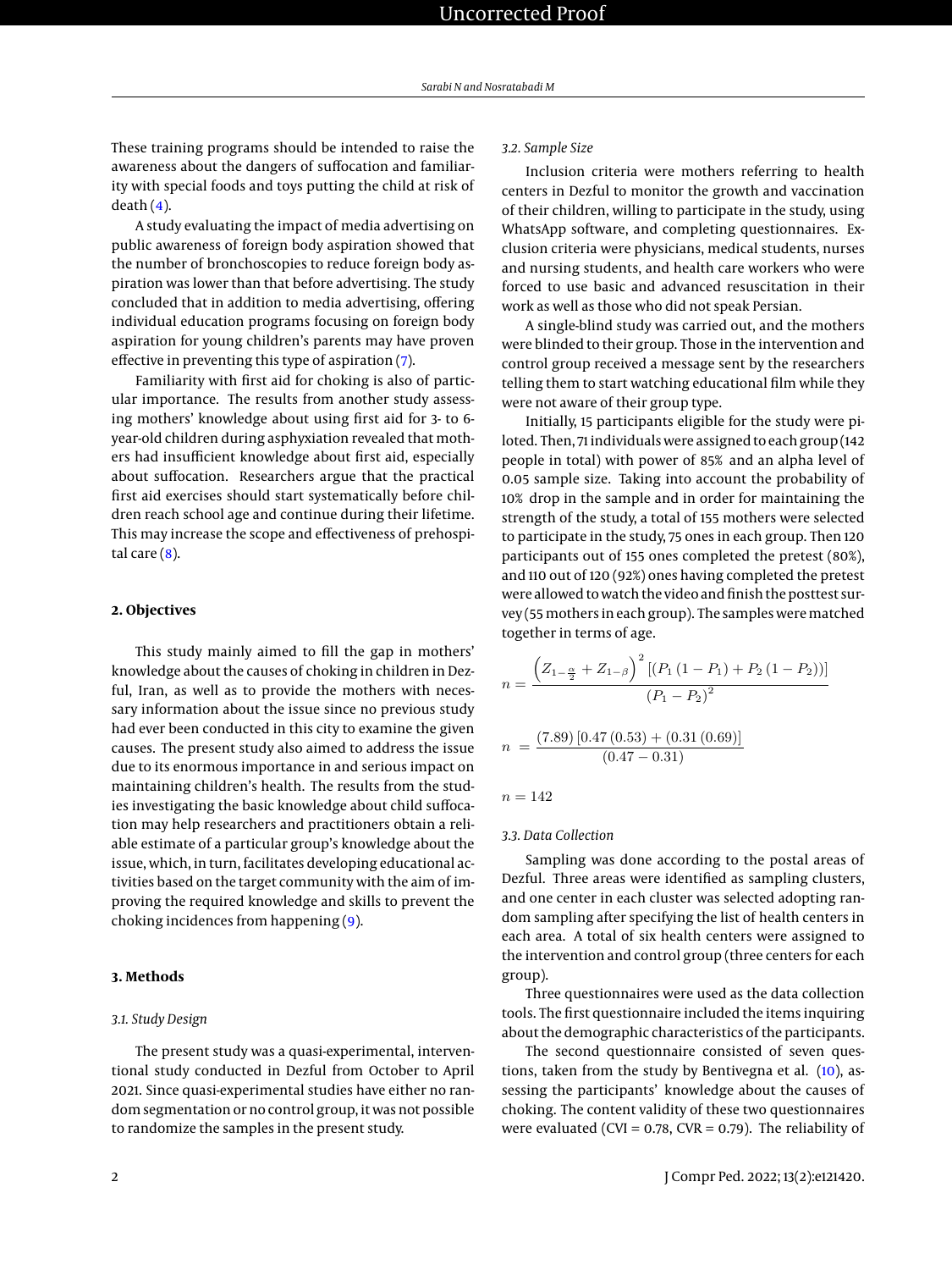These training programs should be intended to raise the awareness about the dangers of suffocation and familiarity with special foods and toys putting the child at risk of  $death(4)$  $death(4)$ .

A study evaluating the impact of media advertising on public awareness of foreign body aspiration showed that the number of bronchoscopies to reduce foreign body aspiration was lower than that before advertising. The study concluded that in addition to media advertising, offering individual education programs focusing on foreign body aspiration for young children's parents may have proven effective in preventing this type of aspiration [\(7\)](#page-6-6).

Familiarity with first aid for choking is also of particular importance. The results from another study assessing mothers' knowledge about using first aid for 3- to 6 year-old children during asphyxiation revealed that mothers had insufficient knowledge about first aid, especially about suffocation. Researchers argue that the practical first aid exercises should start systematically before children reach school age and continue during their lifetime. This may increase the scope and effectiveness of prehospital care  $(8)$ .

#### **2. Objectives**

This study mainly aimed to fill the gap in mothers' knowledge about the causes of choking in children in Dezful, Iran, as well as to provide the mothers with necessary information about the issue since no previous study had ever been conducted in this city to examine the given causes. The present study also aimed to address the issue due to its enormous importance in and serious impact on maintaining children's health. The results from the studies investigating the basic knowledge about child suffocation may help researchers and practitioners obtain a reliable estimate of a particular group's knowledge about the issue, which, in turn, facilitates developing educational activities based on the target community with the aim of improving the required knowledge and skills to prevent the choking incidences from happening [\(9\)](#page-6-8).

## **3. Methods**

#### *3.1. Study Design*

The present study was a quasi-experimental, interventional study conducted in Dezful from October to April 2021. Since quasi-experimental studies have either no random segmentation or no control group, it was not possible to randomize the samples in the present study.

## *3.2. Sample Size*

Inclusion criteria were mothers referring to health centers in Dezful to monitor the growth and vaccination of their children, willing to participate in the study, using WhatsApp software, and completing questionnaires. Exclusion criteria were physicians, medical students, nurses and nursing students, and health care workers who were forced to use basic and advanced resuscitation in their work as well as those who did not speak Persian.

A single-blind study was carried out, and the mothers were blinded to their group. Those in the intervention and control group received a message sent by the researchers telling them to start watching educational film while they were not aware of their group type.

Initially, 15 participants eligible for the study were piloted. Then, 71 individuals were assigned to each group (142 people in total) with power of 85% and an alpha level of 0.05 sample size. Taking into account the probability of 10% drop in the sample and in order for maintaining the strength of the study, a total of 155 mothers were selected to participate in the study, 75 ones in each group. Then 120 participants out of 155 ones completed the pretest (80%), and 110 out of 120 (92%) ones having completed the pretest were allowed to watch the video and finish the posttest survey (55 mothers in each group). The samples were matched together in terms of age.

$$
n = \frac{\left(Z_{1-\frac{\alpha}{2}} + Z_{1-\beta}\right)^2 \left[ (P_1\left(1 - P_1\right) + P_2\left(1 - P_2\right))\right]}{(P_1 - P_2)^2}
$$

$$
n = \frac{(7.89) [0.47 (0.53) + (0.31 (0.69))]}{(0.47 - 0.31)}
$$

$$
n = 142
$$

#### *3.3. Data Collection*

Sampling was done according to the postal areas of Dezful. Three areas were identified as sampling clusters, and one center in each cluster was selected adopting random sampling after specifying the list of health centers in each area. A total of six health centers were assigned to the intervention and control group (three centers for each group).

Three questionnaires were used as the data collection tools. The first questionnaire included the items inquiring about the demographic characteristics of the participants.

The second questionnaire consisted of seven questions, taken from the study by Bentivegna et al. [\(10\)](#page-6-9), assessing the participants' knowledge about the causes of choking. The content validity of these two questionnaires were evaluated (CVI =  $0.78$ , CVR =  $0.79$ ). The reliability of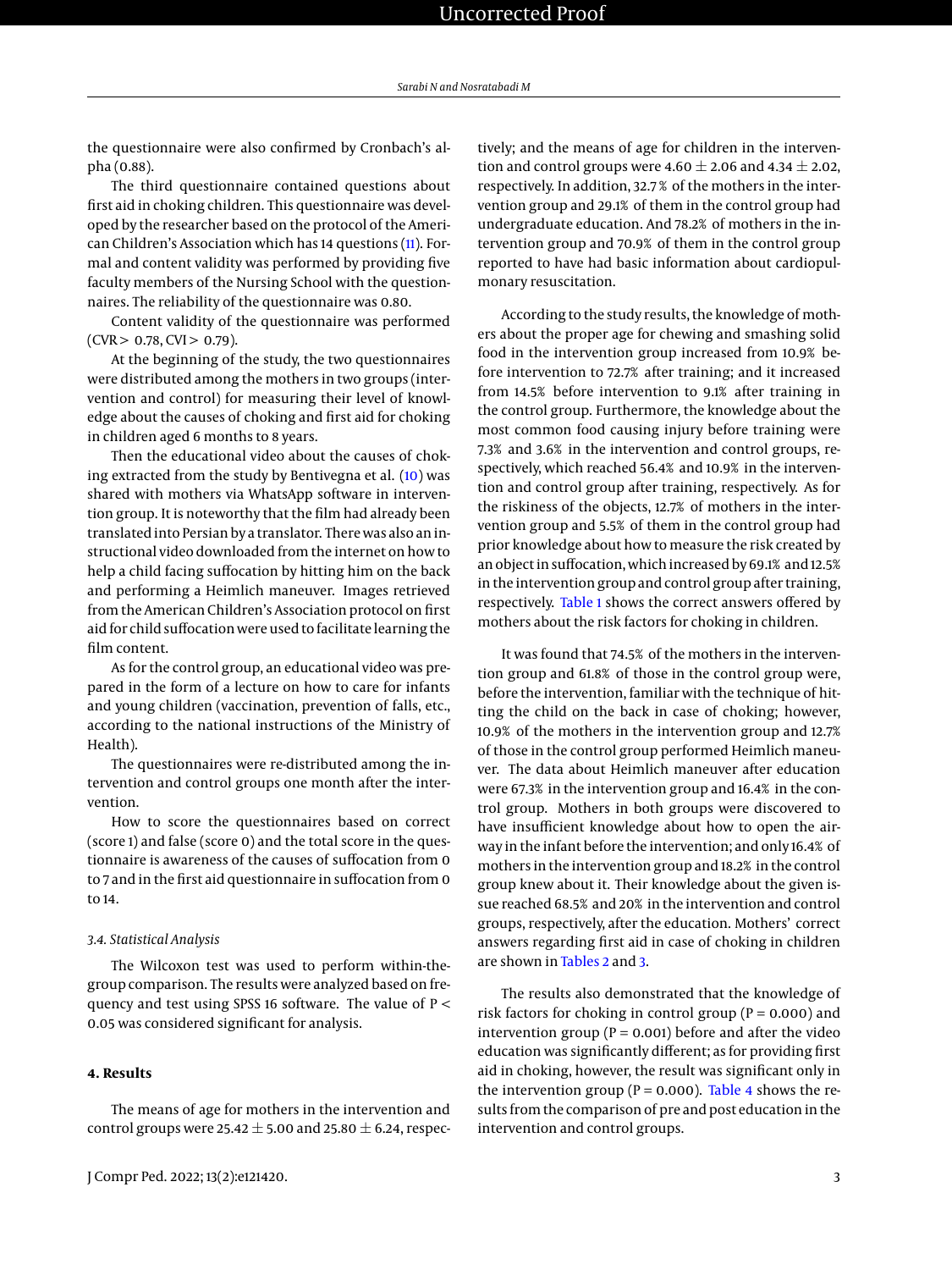the questionnaire were also confirmed by Cronbach's alpha (0.88).

The third questionnaire contained questions about first aid in choking children. This questionnaire was developed by the researcher based on the protocol of the American Children's Association which has 14 questions [\(11\)](#page-6-10). Formal and content validity was performed by providing five faculty members of the Nursing School with the questionnaires. The reliability of the questionnaire was 0.80.

Content validity of the questionnaire was performed  $(CVR > 0.78, CVI > 0.79).$ 

At the beginning of the study, the two questionnaires were distributed among the mothers in two groups (intervention and control) for measuring their level of knowledge about the causes of choking and first aid for choking in children aged 6 months to 8 years.

Then the educational video about the causes of choking extracted from the study by Bentivegna et al. [\(10\)](#page-6-9) was shared with mothers via WhatsApp software in intervention group. It is noteworthy that the film had already been translated into Persian by a translator. There was also an instructional video downloaded from the internet on how to help a child facing suffocation by hitting him on the back and performing a Heimlich maneuver. Images retrieved from the American Children's Association protocol on first aid for child suffocation were used to facilitate learning the film content.

As for the control group, an educational video was prepared in the form of a lecture on how to care for infants and young children (vaccination, prevention of falls, etc., according to the national instructions of the Ministry of Health).

The questionnaires were re-distributed among the intervention and control groups one month after the intervention.

How to score the questionnaires based on correct (score 1) and false (score 0) and the total score in the questionnaire is awareness of the causes of suffocation from 0 to 7 and in the first aid questionnaire in suffocation from 0 to 14.

#### *3.4. Statistical Analysis*

The Wilcoxon test was used to perform within-thegroup comparison. The results were analyzed based on frequency and test using SPSS 16 software. The value of P < 0.05 was considered significant for analysis.

## **4. Results**

tively; and the means of age for children in the intervention and control groups were 4.60  $\pm$  2.06 and 4.34  $\pm$  2.02, respectively. In addition, 32.7 % of the mothers in the intervention group and 29.1% of them in the control group had undergraduate education. And 78.2% of mothers in the intervention group and 70.9% of them in the control group reported to have had basic information about cardiopulmonary resuscitation.

According to the study results, the knowledge of mothers about the proper age for chewing and smashing solid food in the intervention group increased from 10.9% before intervention to 72.7% after training; and it increased from 14.5% before intervention to 9.1% after training in the control group. Furthermore, the knowledge about the most common food causing injury before training were 7.3% and 3.6% in the intervention and control groups, respectively, which reached 56.4% and 10.9% in the intervention and control group after training, respectively. As for the riskiness of the objects, 12.7% of mothers in the intervention group and 5.5% of them in the control group had prior knowledge about how to measure the risk created by an object in suffocation, which increased by 69.1% and 12.5% in the intervention group and control group after training, respectively. [Table 1](#page-3-0) shows the correct answers offered by mothers about the risk factors for choking in children.

It was found that 74.5% of the mothers in the intervention group and 61.8% of those in the control group were, before the intervention, familiar with the technique of hitting the child on the back in case of choking; however, 10.9% of the mothers in the intervention group and 12.7% of those in the control group performed Heimlich maneuver. The data about Heimlich maneuver after education were 67.3% in the intervention group and 16.4% in the control group. Mothers in both groups were discovered to have insufficient knowledge about how to open the airway in the infant before the intervention; and only 16.4% of mothers in the intervention group and 18.2% in the control group knew about it. Their knowledge about the given issue reached 68.5% and 20% in the intervention and control groups, respectively, after the education. Mothers' correct answers regarding first aid in case of choking in children are shown in [Tables 2](#page-4-0) and [3.](#page-5-0)

The results also demonstrated that the knowledge of risk factors for choking in control group ( $P = 0.000$ ) and intervention group ( $P = 0.001$ ) before and after the video education was significantly different; as for providing first aid in choking, however, the result was significant only in the intervention group ( $P = 0.000$ ). [Table 4](#page-5-1) shows the results from the comparison of pre and post education in the intervention and control groups.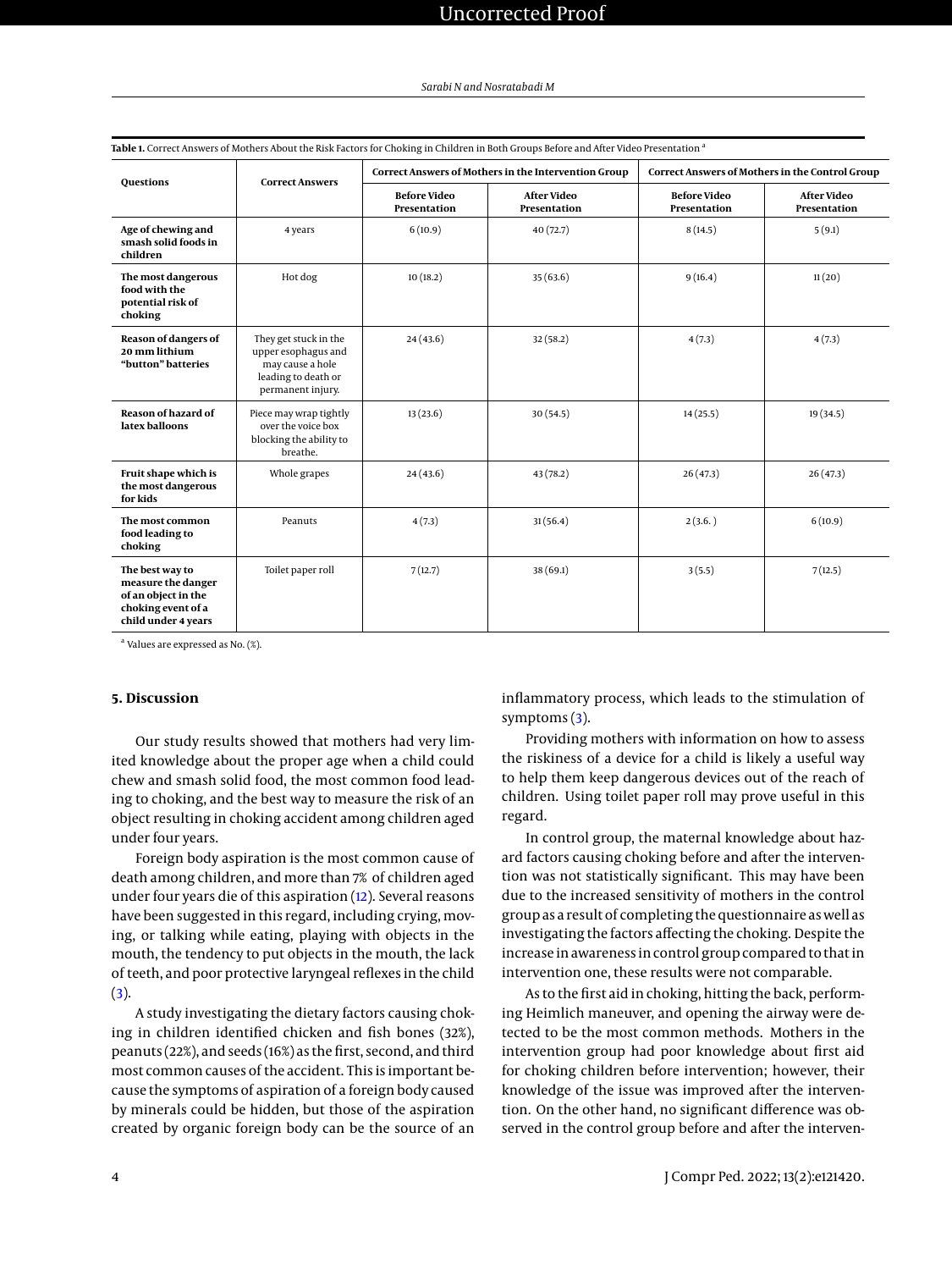| <b>Questions</b>                                                                                          | <b>Correct Answers</b>                                                                                       | <b>Correct Answers of Mothers in the Intervention Group</b> |                                    | Correct Answers of Mothers in the Control Group |                                    |
|-----------------------------------------------------------------------------------------------------------|--------------------------------------------------------------------------------------------------------------|-------------------------------------------------------------|------------------------------------|-------------------------------------------------|------------------------------------|
|                                                                                                           |                                                                                                              | <b>Before Video</b><br>Presentation                         | <b>After Video</b><br>Presentation | <b>Before Video</b><br><b>Presentation</b>      | <b>After Video</b><br>Presentation |
| Age of chewing and<br>smash solid foods in<br>children                                                    | 4 years                                                                                                      | 6(10.9)                                                     | 40(72.7)                           | 8(14.5)                                         | 5(9.1)                             |
| The most dangerous<br>food with the<br>potential risk of<br>choking                                       | Hot dog                                                                                                      | 10(18.2)                                                    | 35(63.6)                           | 9(16.4)                                         | 11(20)                             |
| Reason of dangers of<br>20 mm lithium<br>"button" batteries                                               | They get stuck in the<br>upper esophagus and<br>may cause a hole<br>leading to death or<br>permanent injury. | 24(43.6)                                                    | 32(58.2)                           | 4(7.3)                                          | 4(7.3)                             |
| <b>Reason of hazard of</b><br>latex balloons                                                              | Piece may wrap tightly<br>over the voice box<br>blocking the ability to<br>breathe.                          | 13(23.6)                                                    | 30(54.5)                           | 14(25.5)                                        | 19(34.5)                           |
| Fruit shape which is<br>the most dangerous<br>for kids                                                    | Whole grapes                                                                                                 | 24(43.6)                                                    | 43(78.2)                           | 26(47.3)                                        | 26(47.3)                           |
| The most common<br>food leading to<br>choking                                                             | Peanuts                                                                                                      | 4(7.3)                                                      | 31(56.4)                           | 2(3.6.)                                         | 6(10.9)                            |
| The best way to<br>measure the danger<br>of an object in the<br>choking event of a<br>child under 4 years | Toilet paper roll                                                                                            | 7(12.7)                                                     | 38(69.1)                           | 3(5.5)                                          | 7(12.5)                            |

<span id="page-3-0"></span>**Table 1.** Correct Answers of Mothers About the Risk Factors for Choking in Children in Both Groups Before and After Video Presentation  $^{\it i}$ 

<sup>a</sup> Values are expressed as No. (%).

# **5. Discussion**

Our study results showed that mothers had very limited knowledge about the proper age when a child could chew and smash solid food, the most common food leading to choking, and the best way to measure the risk of an object resulting in choking accident among children aged under four years.

Foreign body aspiration is the most common cause of death among children, and more than 7% of children aged under four years die of this aspiration [\(12\)](#page-6-11). Several reasons have been suggested in this regard, including crying, moving, or talking while eating, playing with objects in the mouth, the tendency to put objects in the mouth, the lack of teeth, and poor protective laryngeal reflexes in the child  $(3).$  $(3).$ 

A study investigating the dietary factors causing choking in children identified chicken and fish bones (32%), peanuts (22%), and seeds (16%) as the first, second, and third most common causes of the accident. This is important because the symptoms of aspiration of a foreign body caused by minerals could be hidden, but those of the aspiration created by organic foreign body can be the source of an

inflammatory process, which leads to the stimulation of symptoms [\(3\)](#page-6-2).

Providing mothers with information on how to assess the riskiness of a device for a child is likely a useful way to help them keep dangerous devices out of the reach of children. Using toilet paper roll may prove useful in this regard.

In control group, the maternal knowledge about hazard factors causing choking before and after the intervention was not statistically significant. This may have been due to the increased sensitivity of mothers in the control group as a result of completing the questionnaire as well as investigating the factors affecting the choking. Despite the increase in awareness in control group compared to that in intervention one, these results were not comparable.

As to the first aid in choking, hitting the back, performing Heimlich maneuver, and opening the airway were detected to be the most common methods. Mothers in the intervention group had poor knowledge about first aid for choking children before intervention; however, their knowledge of the issue was improved after the intervention. On the other hand, no significant difference was observed in the control group before and after the interven-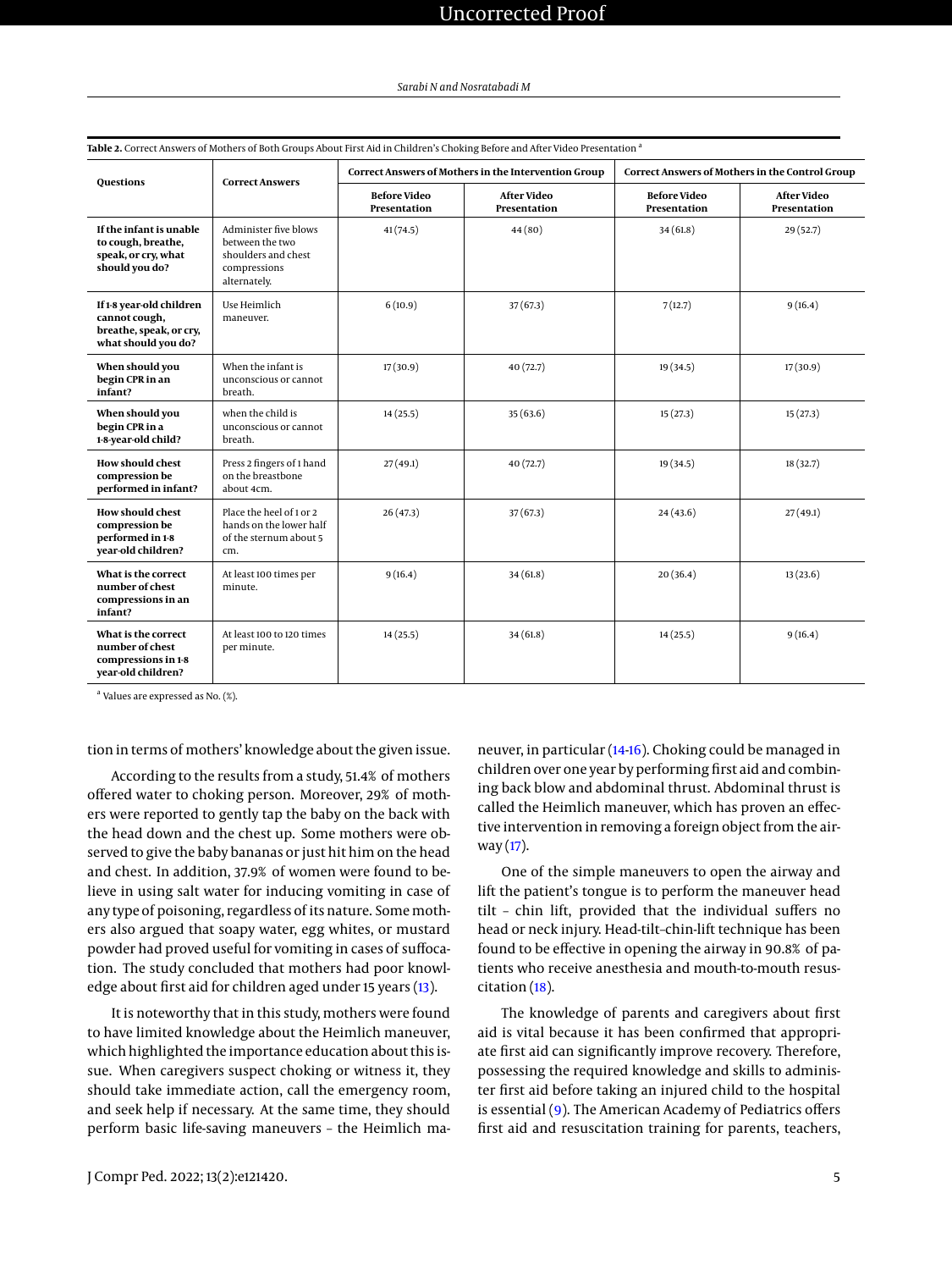| <b>Questions</b>                                                                            | <b>Correct Answers</b>                                                                          | Correct Answers of Mothers in the Intervention Group |                                    | Correct Answers of Mothers in the Control Group |                                    |
|---------------------------------------------------------------------------------------------|-------------------------------------------------------------------------------------------------|------------------------------------------------------|------------------------------------|-------------------------------------------------|------------------------------------|
|                                                                                             |                                                                                                 | <b>Before Video</b><br>Presentation                  | <b>After Video</b><br>Presentation | <b>Before Video</b><br>Presentation             | <b>After Video</b><br>Presentation |
| If the infant is unable<br>to cough, breathe,<br>speak, or cry, what<br>should you do?      | Administer five blows<br>between the two<br>shoulders and chest<br>compressions<br>alternately. | 41(74.5)                                             | 44(80)                             | 34(61.8)                                        | 29 (52.7)                          |
| If 1-8 year-old children<br>cannot cough,<br>breathe, speak, or cry,<br>what should you do? | Use Heimlich<br>maneuver.                                                                       | 6(10.9)                                              | 37(67.3)                           | 7(12.7)                                         | 9(16.4)                            |
| When should you<br>begin CPR in an<br>infant?                                               | When the infant is<br>unconscious or cannot<br>breath.                                          | 17(30.9)                                             | 40(72.7)                           | 19 (34.5)                                       | 17(30.9)                           |
| When should you<br>begin CPR in a<br>1-8-year-old child?                                    | when the child is<br>unconscious or cannot<br>breath.                                           | 14(25.5)                                             | 35(63.6)                           | 15(27.3)                                        | 15(27.3)                           |
| <b>How should chest</b><br>compression be<br>performed in infant?                           | Press 2 fingers of 1 hand<br>on the breastbone<br>about 4cm.                                    | 27(49.1)                                             | 40(72.7)                           | 19 (34.5)                                       | 18 (32.7)                          |
| <b>How should chest</b><br>compression be<br>performed in 1-8<br>year-old children?         | Place the heel of 1 or 2<br>hands on the lower half<br>of the sternum about 5<br>cm.            | 26(47.3)                                             | 37(67.3)                           | 24(43.6)                                        | 27(49.1)                           |
| What is the correct<br>number of chest<br>compressions in an<br>infant?                     | At least 100 times per<br>minute.                                                               | 9(16.4)                                              | 34(61.8)                           | 20(36.4)                                        | 13(23.6)                           |
| What is the correct<br>number of chest<br>compressions in 1-8<br>year-old children?         | At least 100 to 120 times<br>per minute.                                                        | 14(25.5)                                             | 34(61.8)                           | 14(25.5)                                        | 9(16.4)                            |

<span id="page-4-0"></span>**Table 2.** Correct Answers of Mothers of Both Groups About First Aid in Children's Choking Before and After Video Presentation <sup>a</sup>

<sup>a</sup> Values are expressed as No. (%).

tion in terms of mothers' knowledge about the given issue.

According to the results from a study, 51.4% of mothers offered water to choking person. Moreover, 29% of mothers were reported to gently tap the baby on the back with the head down and the chest up. Some mothers were observed to give the baby bananas or just hit him on the head and chest. In addition, 37.9% of women were found to believe in using salt water for inducing vomiting in case of any type of poisoning, regardless of its nature. Some mothers also argued that soapy water, egg whites, or mustard powder had proved useful for vomiting in cases of suffocation. The study concluded that mothers had poor knowledge about first aid for children aged under 15 years [\(13\)](#page-6-12).

It is noteworthy that in this study, mothers were found to have limited knowledge about the Heimlich maneuver, which highlighted the importance education about this issue. When caregivers suspect choking or witness it, they should take immediate action, call the emergency room, and seek help if necessary. At the same time, they should perform basic life-saving maneuvers – the Heimlich maneuver, in particular [\(14-](#page-6-13)[16\)](#page-6-14). Choking could be managed in children over one year by performing first aid and combining back blow and abdominal thrust. Abdominal thrust is called the Heimlich maneuver, which has proven an effective intervention in removing a foreign object from the airway [\(17\)](#page-6-15).

One of the simple maneuvers to open the airway and lift the patient's tongue is to perform the maneuver head tilt – chin lift, provided that the individual suffers no head or neck injury. Head-tilt–chin-lift technique has been found to be effective in opening the airway in 90.8% of patients who receive anesthesia and mouth-to-mouth resuscitation [\(18\)](#page-6-16).

The knowledge of parents and caregivers about first aid is vital because it has been confirmed that appropriate first aid can significantly improve recovery. Therefore, possessing the required knowledge and skills to administer first aid before taking an injured child to the hospital is essential [\(9\)](#page-6-8). The American Academy of Pediatrics offers first aid and resuscitation training for parents, teachers,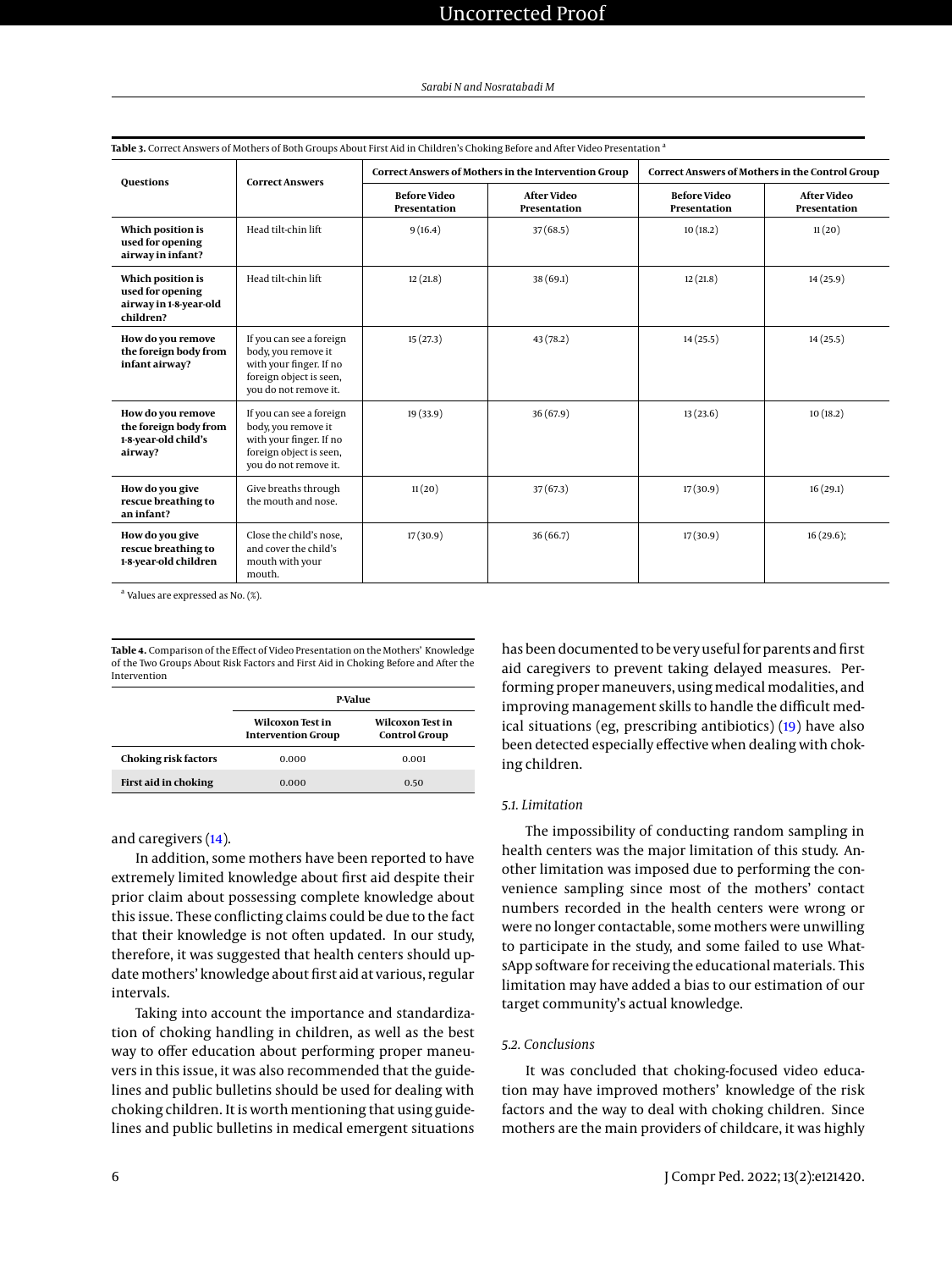| <b>Ouestions</b>                                                              | <b>Correct Answers</b>                                                                                                         | <b>Correct Answers of Mothers in the Intervention Group</b> |                                    | <b>Correct Answers of Mothers in the Control Group</b> |                                    |
|-------------------------------------------------------------------------------|--------------------------------------------------------------------------------------------------------------------------------|-------------------------------------------------------------|------------------------------------|--------------------------------------------------------|------------------------------------|
|                                                                               |                                                                                                                                | <b>Before Video</b><br>Presentation                         | <b>After Video</b><br>Presentation | <b>Before Video</b><br>Presentation                    | <b>After Video</b><br>Presentation |
| Which position is<br>used for opening<br>airway in infant?                    | Head tilt-chin lift                                                                                                            | 9(16.4)                                                     | 37(68.5)                           | 10(18.2)                                               | 11(20)                             |
| Which position is<br>used for opening<br>airway in 1-8-year-old<br>children?  | Head tilt-chin lift                                                                                                            | 12(21.8)                                                    | 38 (69.1)                          | 12(21.8)                                               | 14(25.9)                           |
| How do you remove<br>the foreign body from<br>infant airway?                  | If you can see a foreign<br>body, you remove it<br>with your finger. If no<br>foreign object is seen,<br>you do not remove it. | 15(27.3)                                                    | 43 (78.2)                          | 14(25.5)                                               | 14(25.5)                           |
| How do you remove<br>the foreign body from<br>1-8-year-old child's<br>airway? | If you can see a foreign<br>body, you remove it<br>with your finger. If no<br>foreign object is seen,<br>you do not remove it. | 19(33.9)                                                    | 36(67.9)                           | 13(23.6)                                               | 10(18.2)                           |
| How do you give<br>rescue breathing to<br>an infant?                          | Give breaths through<br>the mouth and nose.                                                                                    | 11(20)                                                      | 37(67.3)                           | 17(30.9)                                               | 16(29.1)                           |
| How do you give<br>rescue breathing to<br>1-8-year-old children               | Close the child's nose.<br>and cover the child's<br>mouth with your<br>mouth.                                                  | 17(30.9)                                                    | 36(66.7)                           | 17(30.9)                                               | 16(29.6);                          |

<span id="page-5-0"></span>**Table 3.** Correct Answers of Mothers of Both Groups About First Aid in Children's Choking Before and After Video Presentation <sup>a</sup>

<sup>a</sup> Values are expressed as No. (%).

<span id="page-5-1"></span>**Table 4.** Comparison of the Effect of Video Presentation on the Mothers' Knowledge of the Two Groups About Risk Factors and First Aid in Choking Before and After the Intervention

|                      | P-Value                                              |                                                 |  |
|----------------------|------------------------------------------------------|-------------------------------------------------|--|
|                      | <b>Wilcoxon Test in</b><br><b>Intervention Group</b> | <b>Wilcoxon Test in</b><br><b>Control Group</b> |  |
| Choking risk factors | 0.000                                                | 0.001                                           |  |
| First aid in choking | 0.000                                                | 0.50                                            |  |

and caregivers [\(14\)](#page-6-13).

In addition, some mothers have been reported to have extremely limited knowledge about first aid despite their prior claim about possessing complete knowledge about this issue. These conflicting claims could be due to the fact that their knowledge is not often updated. In our study, therefore, it was suggested that health centers should update mothers' knowledge about first aid at various, regular intervals.

Taking into account the importance and standardization of choking handling in children, as well as the best way to offer education about performing proper maneuvers in this issue, it was also recommended that the guidelines and public bulletins should be used for dealing with choking children. It is worth mentioning that using guidelines and public bulletins in medical emergent situations

has been documented to be very useful for parents and first aid caregivers to prevent taking delayed measures. Performing proper maneuvers, using medical modalities, and improving management skills to handle the difficult medical situations (eg, prescribing antibiotics) [\(19\)](#page-6-17) have also been detected especially effective when dealing with choking children.

## *5.1. Limitation*

The impossibility of conducting random sampling in health centers was the major limitation of this study. Another limitation was imposed due to performing the convenience sampling since most of the mothers' contact numbers recorded in the health centers were wrong or were no longer contactable, some mothers were unwilling to participate in the study, and some failed to use WhatsApp software for receiving the educational materials. This limitation may have added a bias to our estimation of our target community's actual knowledge.

# *5.2. Conclusions*

It was concluded that choking-focused video education may have improved mothers' knowledge of the risk factors and the way to deal with choking children. Since mothers are the main providers of childcare, it was highly